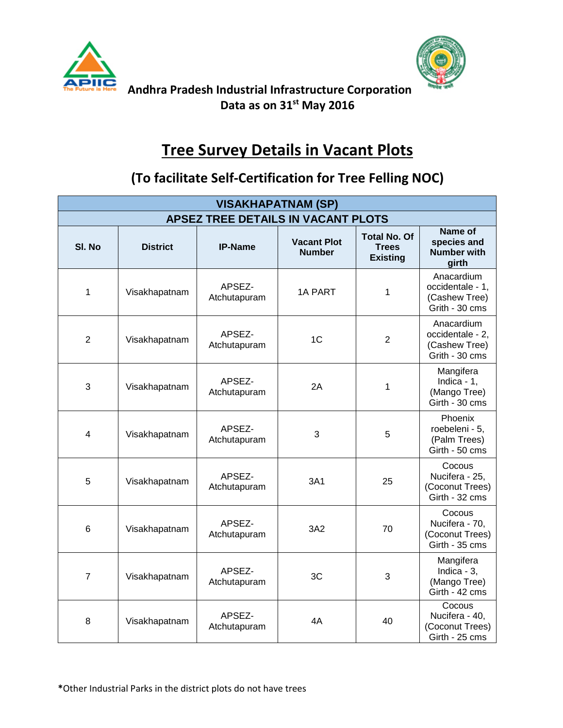



# **Tree Survey Details in Vacant Plots**

# **(To facilitate Self-Certification for Tree Felling NOC)**

| <b>VISAKHAPATNAM (SP)</b>          |                 |                        |                                     |                                                        |                                                                    |  |  |  |
|------------------------------------|-----------------|------------------------|-------------------------------------|--------------------------------------------------------|--------------------------------------------------------------------|--|--|--|
| APSEZ TREE DETAILS IN VACANT PLOTS |                 |                        |                                     |                                                        |                                                                    |  |  |  |
| SI. No                             | <b>District</b> | <b>IP-Name</b>         | <b>Vacant Plot</b><br><b>Number</b> | <b>Total No. Of</b><br><b>Trees</b><br><b>Existing</b> | Name of<br>species and<br><b>Number with</b><br>girth              |  |  |  |
| 1                                  | Visakhapatnam   | APSEZ-<br>Atchutapuram | <b>1A PART</b>                      | $\mathbf{1}$                                           | Anacardium<br>occidentale - 1,<br>(Cashew Tree)<br>Grith - 30 cms  |  |  |  |
| $\overline{2}$                     | Visakhapatnam   | APSEZ-<br>Atchutapuram | 1 <sup>C</sup>                      | $\overline{2}$                                         | Anacardium<br>occidentale - 2,<br>(Cashew Tree)<br>Grith - 30 cms  |  |  |  |
| 3                                  | Visakhapatnam   | APSEZ-<br>Atchutapuram | 2A                                  | 1                                                      | Mangifera<br>Indica - $1$ ,<br>(Mango Tree)<br>Girth - 30 cms      |  |  |  |
| $\overline{4}$                     | Visakhapatnam   | APSEZ-<br>Atchutapuram | 3                                   | 5                                                      | <b>Phoenix</b><br>roebeleni - 5,<br>(Palm Trees)<br>Girth - 50 cms |  |  |  |
| 5                                  | Visakhapatnam   | APSEZ-<br>Atchutapuram | 3A1                                 | 25                                                     | Cocous<br>Nucifera - 25,<br>(Coconut Trees)<br>Girth - 32 cms      |  |  |  |
| 6                                  | Visakhapatnam   | APSEZ-<br>Atchutapuram | 3A2                                 | 70                                                     | Cocous<br>Nucifera - 70,<br>(Coconut Trees)<br>Girth - 35 cms      |  |  |  |
| $\overline{7}$                     | Visakhapatnam   | APSEZ-<br>Atchutapuram | 3C                                  | 3                                                      | Mangifera<br>Indica - $3$ ,<br>(Mango Tree)<br>Girth - 42 cms      |  |  |  |
| 8                                  | Visakhapatnam   | APSEZ-<br>Atchutapuram | 4A                                  | 40                                                     | Cocous<br>Nucifera - 40,<br>(Coconut Trees)<br>Girth - 25 cms      |  |  |  |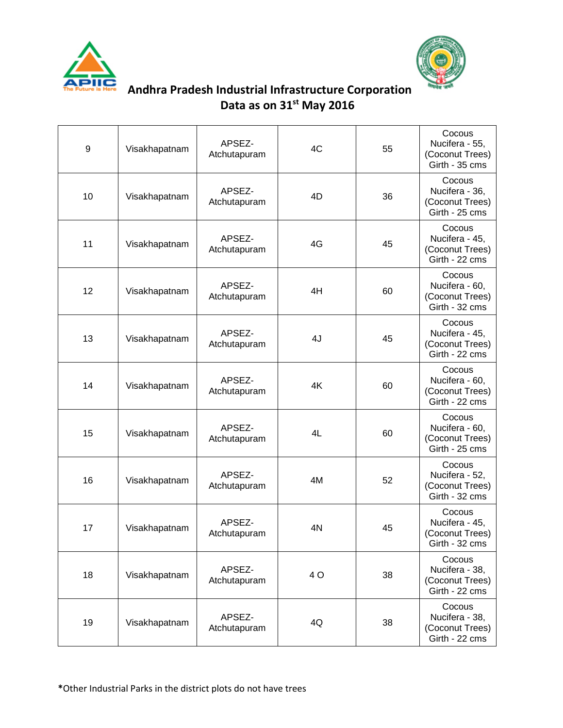



| 9  | Visakhapatnam | APSEZ-<br>Atchutapuram | 4C  | 55 | Cocous<br>Nucifera - 55,<br>(Coconut Trees)<br>Girth - 35 cms |
|----|---------------|------------------------|-----|----|---------------------------------------------------------------|
| 10 | Visakhapatnam | APSEZ-<br>Atchutapuram | 4D  | 36 | Cocous<br>Nucifera - 36,<br>(Coconut Trees)<br>Girth - 25 cms |
| 11 | Visakhapatnam | APSEZ-<br>Atchutapuram | 4G  | 45 | Cocous<br>Nucifera - 45,<br>(Coconut Trees)<br>Girth - 22 cms |
| 12 | Visakhapatnam | APSEZ-<br>Atchutapuram | 4H  | 60 | Cocous<br>Nucifera - 60,<br>(Coconut Trees)<br>Girth - 32 cms |
| 13 | Visakhapatnam | APSEZ-<br>Atchutapuram | 4J  | 45 | Cocous<br>Nucifera - 45,<br>(Coconut Trees)<br>Girth - 22 cms |
| 14 | Visakhapatnam | APSEZ-<br>Atchutapuram | 4K  | 60 | Cocous<br>Nucifera - 60,<br>(Coconut Trees)<br>Girth - 22 cms |
| 15 | Visakhapatnam | APSEZ-<br>Atchutapuram | 4L  | 60 | Cocous<br>Nucifera - 60,<br>(Coconut Trees)<br>Girth - 25 cms |
| 16 | Visakhapatnam | APSEZ-<br>Atchutapuram | 4M  | 52 | Cocous<br>Nucifera - 52,<br>(Coconut Trees)<br>Girth - 32 cms |
| 17 | Visakhapatnam | APSEZ-<br>Atchutapuram | 4N  | 45 | Cocous<br>Nucifera - 45,<br>(Coconut Trees)<br>Girth - 32 cms |
| 18 | Visakhapatnam | APSEZ-<br>Atchutapuram | 4 O | 38 | Cocous<br>Nucifera - 38,<br>(Coconut Trees)<br>Girth - 22 cms |
| 19 | Visakhapatnam | APSEZ-<br>Atchutapuram | 4Q  | 38 | Cocous<br>Nucifera - 38,<br>(Coconut Trees)<br>Girth - 22 cms |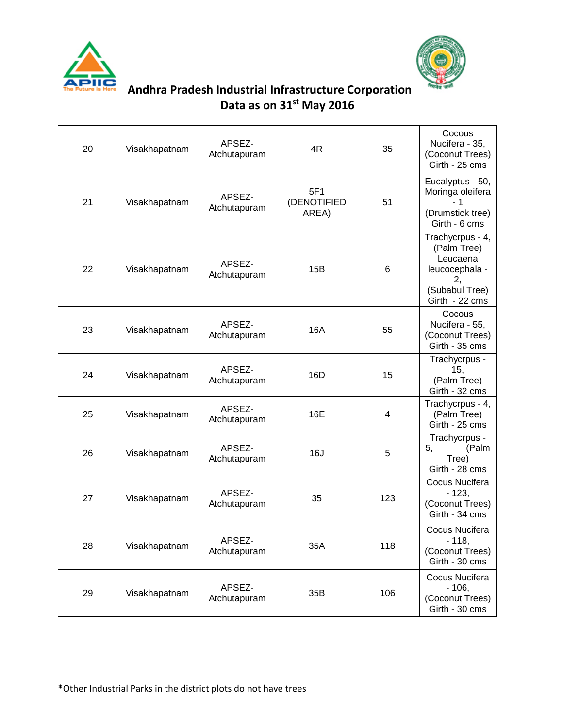



| 20 | Visakhapatnam | APSEZ-<br>Atchutapuram | 4R                          | 35  | Cocous<br>Nucifera - 35,<br>(Coconut Trees)<br>Girth - 25 cms                                           |
|----|---------------|------------------------|-----------------------------|-----|---------------------------------------------------------------------------------------------------------|
| 21 | Visakhapatnam | APSEZ-<br>Atchutapuram | 5F1<br>(DENOTIFIED<br>AREA) | 51  | Eucalyptus - 50,<br>Moringa oleifera<br>- 1<br>(Drumstick tree)<br>Girth - 6 cms                        |
| 22 | Visakhapatnam | APSEZ-<br>Atchutapuram | 15B                         | 6   | Trachycrpus - 4,<br>(Palm Tree)<br>Leucaena<br>leucocephala -<br>2,<br>(Subabul Tree)<br>Girth - 22 cms |
| 23 | Visakhapatnam | APSEZ-<br>Atchutapuram | <b>16A</b>                  | 55  | Cocous<br>Nucifera - 55,<br>(Coconut Trees)<br>Girth - 35 cms                                           |
| 24 | Visakhapatnam | APSEZ-<br>Atchutapuram | 16D                         | 15  | Trachycrpus -<br>15,<br>(Palm Tree)<br>Girth - 32 cms                                                   |
| 25 | Visakhapatnam | APSEZ-<br>Atchutapuram | 16E                         | 4   | Trachycrpus - 4,<br>(Palm Tree)<br>Girth - 25 cms                                                       |
| 26 | Visakhapatnam | APSEZ-<br>Atchutapuram | 16J                         | 5   | Trachycrpus -<br>5,<br>(Palm<br>Tree)<br>Girth - 28 cms                                                 |
| 27 | Visakhapatnam | APSEZ-<br>Atchutapuram | 35                          | 123 | Cocus Nucifera<br>$-123,$<br>(Coconut Trees)<br>Girth - 34 cms                                          |
| 28 | Visakhapatnam | APSEZ-<br>Atchutapuram | 35A                         | 118 | Cocus Nucifera<br>$-118,$<br>(Coconut Trees)<br>Girth - 30 cms                                          |
| 29 | Visakhapatnam | APSEZ-<br>Atchutapuram | 35B                         | 106 | Cocus Nucifera<br>$-106,$<br>(Coconut Trees)<br>Girth - 30 cms                                          |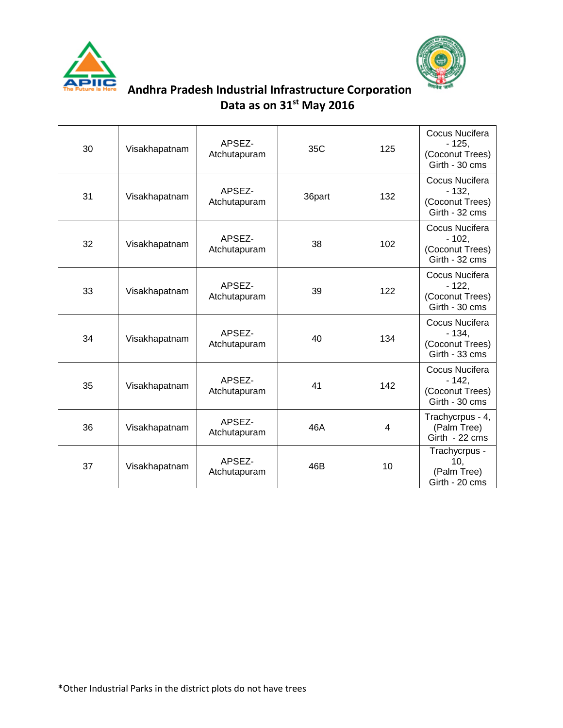



| 30 | Visakhapatnam | APSEZ-<br>Atchutapuram | 35C    | 125 | Cocus Nucifera<br>$-125,$<br>(Coconut Trees)<br>Girth - 30 cms |
|----|---------------|------------------------|--------|-----|----------------------------------------------------------------|
| 31 | Visakhapatnam | APSEZ-<br>Atchutapuram | 36part | 132 | Cocus Nucifera<br>$-132,$<br>(Coconut Trees)<br>Girth - 32 cms |
| 32 | Visakhapatnam | APSEZ-<br>Atchutapuram | 38     | 102 | Cocus Nucifera<br>$-102.$<br>(Coconut Trees)<br>Girth - 32 cms |
| 33 | Visakhapatnam | APSEZ-<br>Atchutapuram | 39     | 122 | Cocus Nucifera<br>$-122.$<br>(Coconut Trees)<br>Girth - 30 cms |
| 34 | Visakhapatnam | APSEZ-<br>Atchutapuram | 40     | 134 | Cocus Nucifera<br>$-134,$<br>(Coconut Trees)<br>Girth - 33 cms |
| 35 | Visakhapatnam | APSEZ-<br>Atchutapuram | 41     | 142 | Cocus Nucifera<br>$-142,$<br>(Coconut Trees)<br>Girth - 30 cms |
| 36 | Visakhapatnam | APSEZ-<br>Atchutapuram | 46A    | 4   | Trachycrpus - 4,<br>(Palm Tree)<br>Girth - 22 cms              |
| 37 | Visakhapatnam | APSEZ-<br>Atchutapuram | 46B    | 10  | Trachycrpus -<br>10,<br>(Palm Tree)<br>Girth - 20 cms          |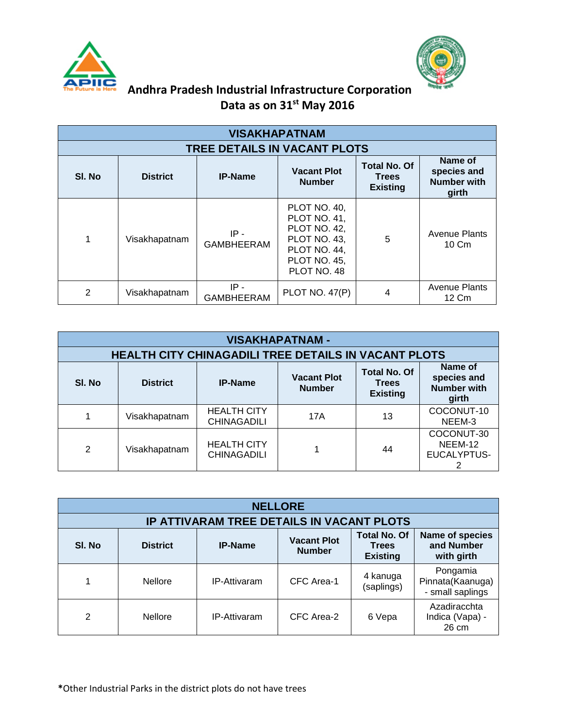



| <b>VISAKHAPATNAM</b> |                 |                                     |                                                                                                             |                                                        |                                         |  |  |  |
|----------------------|-----------------|-------------------------------------|-------------------------------------------------------------------------------------------------------------|--------------------------------------------------------|-----------------------------------------|--|--|--|
|                      |                 | <b>TREE DETAILS IN VACANT PLOTS</b> |                                                                                                             |                                                        |                                         |  |  |  |
| SI. No               | <b>District</b> | <b>IP-Name</b>                      | <b>Vacant Plot</b><br><b>Number</b>                                                                         | <b>Total No. Of</b><br><b>Trees</b><br><b>Existing</b> |                                         |  |  |  |
| 1                    | Visakhapatnam   | $IP -$<br><b>GAMBHEERAM</b>         | PLOT NO. 40,<br>PLOT NO. 41,<br>PLOT NO. 42,<br>PLOT NO. 43,<br>PLOT NO. 44,<br>PLOT NO. 45,<br>PLOT NO. 48 | 5                                                      | <b>Avenue Plants</b><br>$10 \text{ Cm}$ |  |  |  |
| 2                    | Visakhapatnam   | $IP -$<br><b>GAMBHEERAM</b>         | <b>PLOT NO. 47(P)</b>                                                                                       | 4                                                      | <b>Avenue Plants</b><br>12 Cm           |  |  |  |

| <b>VISAKHAPATNAM -</b> |                 |                                                             |                                     |                                                        |                                                       |  |  |  |
|------------------------|-----------------|-------------------------------------------------------------|-------------------------------------|--------------------------------------------------------|-------------------------------------------------------|--|--|--|
|                        |                 | <b>HEALTH CITY CHINAGADILI TREE DETAILS IN VACANT PLOTS</b> |                                     |                                                        |                                                       |  |  |  |
| SI. No                 | <b>District</b> | <b>IP-Name</b>                                              | <b>Vacant Plot</b><br><b>Number</b> | <b>Total No. Of</b><br><b>Trees</b><br><b>Existing</b> | Name of<br>species and<br><b>Number with</b><br>girth |  |  |  |
|                        | Visakhapatnam   | <b>HEALTH CITY</b><br><b>CHINAGADILI</b>                    | 17A                                 | 13                                                     | COCONUT-10<br>NEEM-3                                  |  |  |  |
| 2                      | Visakhapatnam   | <b>HEALTH CITY</b><br><b>CHINAGADILI</b>                    |                                     | 44                                                     | COCONUT-30<br>NEEM-12<br>EUCALYPTUS-                  |  |  |  |

|              | <b>NELLORE</b>  |                                                  |                                     |                                                        |                                                  |  |  |  |  |
|--------------|-----------------|--------------------------------------------------|-------------------------------------|--------------------------------------------------------|--------------------------------------------------|--|--|--|--|
|              |                 | <b>IP ATTIVARAM TREE DETAILS IN VACANT PLOTS</b> |                                     |                                                        |                                                  |  |  |  |  |
| SI. No       | <b>District</b> | <b>IP-Name</b>                                   | <b>Vacant Plot</b><br><b>Number</b> | <b>Total No. Of</b><br><b>Trees</b><br><b>Existing</b> | Name of species<br>and Number<br>with girth      |  |  |  |  |
| 1            | <b>Nellore</b>  | <b>IP-Attivaram</b>                              | CFC Area-1                          | 4 kanuga<br>(saplings)                                 | Pongamia<br>Pinnata(Kaanuga)<br>- small saplings |  |  |  |  |
| $\mathbf{2}$ | <b>Nellore</b>  | <b>IP-Attivaram</b>                              | CFC Area-2                          | 6 Vepa                                                 | Azadiracchta<br>Indica (Vapa) -<br>26 cm         |  |  |  |  |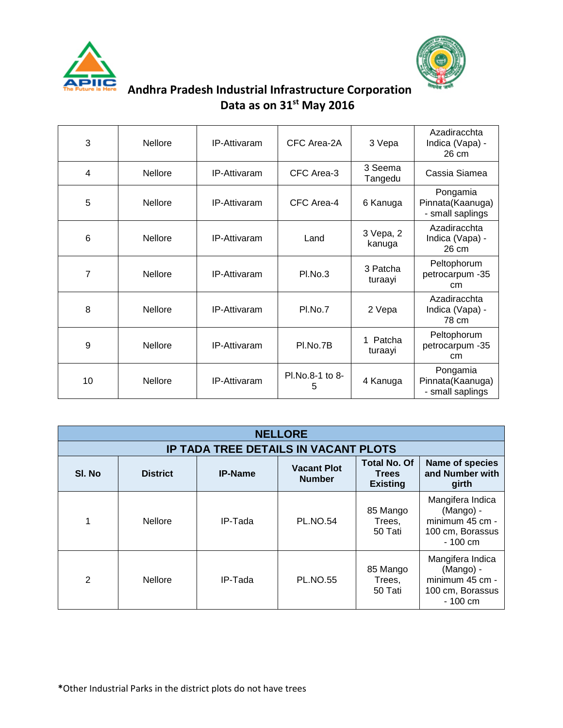



| 3  | <b>Nellore</b> | IP-Attivaram        | CFC Area-2A          | 3 Vepa              | Azadiracchta<br>Indica (Vapa) -<br>26 cm          |
|----|----------------|---------------------|----------------------|---------------------|---------------------------------------------------|
| 4  | <b>Nellore</b> | <b>IP-Attivaram</b> | CFC Area-3           | 3 Seema<br>Tangedu  | Cassia Siamea                                     |
| 5  | <b>Nellore</b> | IP-Attivaram        | CFC Area-4           | 6 Kanuga            | Pongamia<br>Pinnata(Kaanuga)<br>- small saplings  |
| 6  | <b>Nellore</b> | IP-Attivaram        | Land                 | 3 Vepa, 2<br>kanuga | Azadiracchta<br>Indica (Vapa) -<br>26 cm          |
| 7  | <b>Nellore</b> | <b>IP-Attivaram</b> | PI.No.3              | 3 Patcha<br>turaayi | Peltophorum<br>petrocarpum -35<br>cm <sub>2</sub> |
| 8  | <b>Nellore</b> | IP-Attivaram        | PI.No.7              | 2 Vepa              | Azadiracchta<br>Indica (Vapa) -<br>78 cm          |
| 9  | <b>Nellore</b> | IP-Attivaram        | PI.No.7B             | 1 Patcha<br>turaayi | Peltophorum<br>petrocarpum -35<br>cm              |
| 10 | Nellore        | IP-Attivaram        | PI.No.8-1 to 8-<br>5 | 4 Kanuga            | Pongamia<br>Pinnata(Kaanuga)<br>- small saplings  |

|              | <b>NELLORE</b>  |                                             |                                     |                                                        |                                                                                             |  |  |  |  |
|--------------|-----------------|---------------------------------------------|-------------------------------------|--------------------------------------------------------|---------------------------------------------------------------------------------------------|--|--|--|--|
|              |                 | <b>IP TADA TREE DETAILS IN VACANT PLOTS</b> |                                     |                                                        |                                                                                             |  |  |  |  |
| SI. No       | <b>District</b> | <b>IP-Name</b>                              | <b>Vacant Plot</b><br><b>Number</b> | <b>Total No. Of</b><br><b>Trees</b><br><b>Existing</b> | Name of species<br>and Number with<br>girth                                                 |  |  |  |  |
| 1            | <b>Nellore</b>  | IP-Tada                                     | <b>PL.NO.54</b>                     | 85 Mango<br>Trees,<br>50 Tati                          | Mangifera Indica<br>(Mango) -<br>minimum 45 cm -<br>100 cm, Borassus<br>$-100 \, \text{cm}$ |  |  |  |  |
| $\mathbf{2}$ | <b>Nellore</b>  | IP-Tada                                     | <b>PL.NO.55</b>                     | 85 Mango<br>Trees,<br>50 Tati                          | Mangifera Indica<br>(Mango) -<br>minimum 45 cm -<br>100 cm, Borassus<br>$-100$ cm           |  |  |  |  |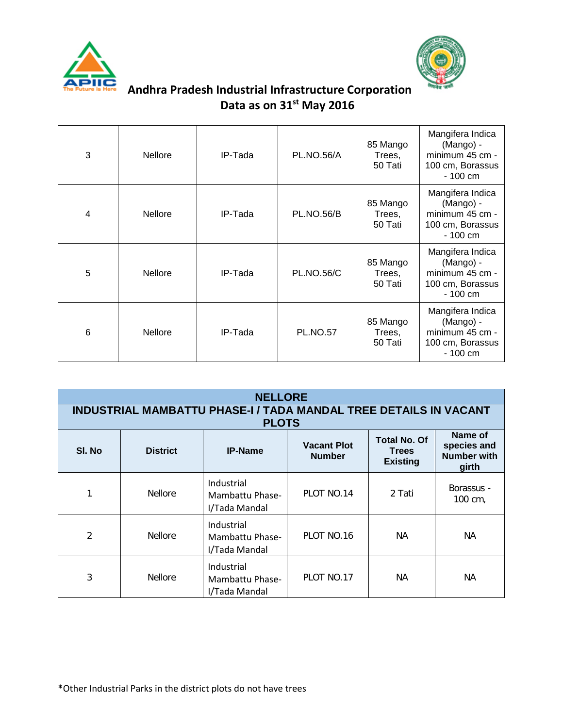



| 3 | <b>Nellore</b> | IP-Tada | <b>PL.NO.56/A</b> | 85 Mango<br>Trees,<br>50 Tati | Mangifera Indica<br>(Mango) -<br>minimum 45 cm -<br>100 cm, Borassus<br>$-100 \, \text{cm}$ |
|---|----------------|---------|-------------------|-------------------------------|---------------------------------------------------------------------------------------------|
| 4 | <b>Nellore</b> | IP-Tada | <b>PL.NO.56/B</b> | 85 Mango<br>Trees,<br>50 Tati | Mangifera Indica<br>(Mango) -<br>minimum 45 cm -<br>100 cm, Borassus<br>$-100 \, \text{cm}$ |
| 5 | <b>Nellore</b> | IP-Tada | <b>PL.NO.56/C</b> | 85 Mango<br>Trees,<br>50 Tati | Mangifera Indica<br>(Mango) -<br>minimum 45 cm -<br>100 cm, Borassus<br>$-100$ cm           |
| 6 | <b>Nellore</b> | IP-Tada | <b>PL.NO.57</b>   | 85 Mango<br>Trees,<br>50 Tati | Mangifera Indica<br>(Mango) -<br>minimum 45 cm -<br>100 cm, Borassus<br>$-100 \, \text{cm}$ |

| <b>NELLORE</b> |                                                                                         |                                                |                                     |                                                        |                                                       |  |  |  |  |
|----------------|-----------------------------------------------------------------------------------------|------------------------------------------------|-------------------------------------|--------------------------------------------------------|-------------------------------------------------------|--|--|--|--|
|                | <b>INDUSTRIAL MAMBATTU PHASE-I / TADA MANDAL TREE DETAILS IN VACANT</b><br><b>PLOTS</b> |                                                |                                     |                                                        |                                                       |  |  |  |  |
| SI. No         | <b>District</b>                                                                         | <b>IP-Name</b>                                 | <b>Vacant Plot</b><br><b>Number</b> | <b>Total No. Of</b><br><b>Trees</b><br><b>Existing</b> | Name of<br>species and<br><b>Number with</b><br>girth |  |  |  |  |
|                | <b>Nellore</b>                                                                          | Industrial<br>Mambattu Phase-<br>I/Tada Mandal | PLOT NO.14                          | 2 Tati                                                 | Borassus -<br>100 cm,                                 |  |  |  |  |
| $\mathfrak{D}$ | <b>Nellore</b>                                                                          | Industrial<br>Mambattu Phase-<br>I/Tada Mandal | PLOT NO.16                          | NA.                                                    | <b>NA</b>                                             |  |  |  |  |
| 3              | <b>Nellore</b>                                                                          | Industrial<br>Mambattu Phase-<br>I/Tada Mandal | PLOT NO.17                          | ΝA                                                     | NА                                                    |  |  |  |  |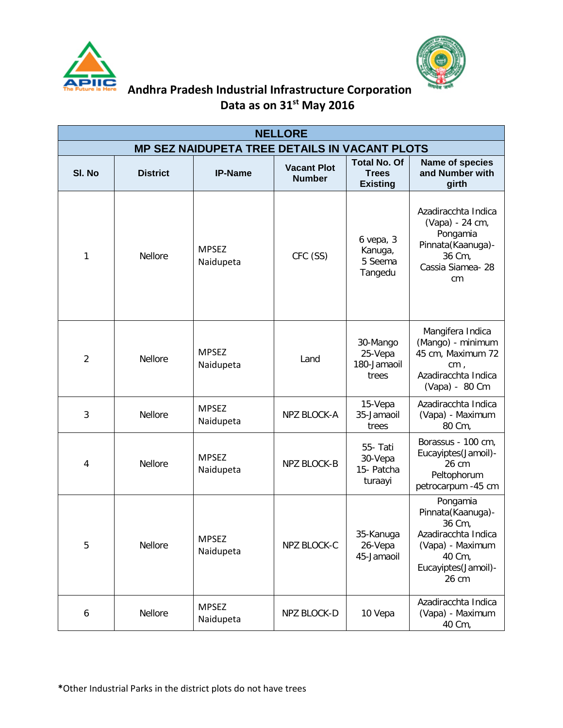



| <b>NELLORE</b>                                       |                 |                           |                                     |                                                        |                                                                                                                               |  |  |  |
|------------------------------------------------------|-----------------|---------------------------|-------------------------------------|--------------------------------------------------------|-------------------------------------------------------------------------------------------------------------------------------|--|--|--|
| <b>MP SEZ NAIDUPETA TREE DETAILS IN VACANT PLOTS</b> |                 |                           |                                     |                                                        |                                                                                                                               |  |  |  |
| SI. No                                               | <b>District</b> | <b>IP-Name</b>            | <b>Vacant Plot</b><br><b>Number</b> | <b>Total No. Of</b><br><b>Trees</b><br><b>Existing</b> | Name of species<br>and Number with<br>girth                                                                                   |  |  |  |
| 1                                                    | <b>Nellore</b>  | <b>MPSEZ</b><br>Naidupeta | CFC (SS)                            | $6$ vepa, $3$<br>Kanuga,<br>5 Seema<br>Tangedu         | Azadiracchta Indica<br>(Vapa) - 24 cm,<br>Pongamia<br>Pinnata (Kaanuga)-<br>36 Cm,<br>Cassia Siamea-28<br>cm                  |  |  |  |
| $\overline{2}$                                       | Nellore         | <b>MPSEZ</b><br>Naidupeta | Land                                | 30-Mango<br>25-Vepa<br>180-Jamaoil<br>trees            | Mangifera Indica<br>(Mango) - minimum<br>45 cm, Maximum 72<br>cm <sub>1</sub><br>Azadiracchta Indica<br>(Vapa) - 80 Cm        |  |  |  |
| 3                                                    | Nellore         | <b>MPSEZ</b><br>Naidupeta | NPZ BLOCK-A                         | 15-Vepa<br>35-Jamaoil<br>trees                         | Azadiracchta Indica<br>(Vapa) - Maximum<br>80 Cm,                                                                             |  |  |  |
| 4                                                    | Nellore         | <b>MPSEZ</b><br>Naidupeta | NPZ BLOCK-B                         | 55- Tati<br>30-Vepa<br>15- Patcha<br>turaayi           | Borassus - 100 cm,<br>Eucayiptes(Jamoil)-<br>26 cm<br>Peltophorum<br>petrocarpum -45 cm                                       |  |  |  |
| 5                                                    | Nellore         | <b>MPSEZ</b><br>Naidupeta | NPZ BLOCK-C                         | 35-Kanuga<br>26-Vepa<br>45-Jamaoil                     | Pongamia<br>Pinnata (Kaanuga)-<br>36 Cm,<br>Azadiracchta Indica<br>(Vapa) - Maximum<br>40 Cm,<br>Eucayiptes(Jamoil)-<br>26 cm |  |  |  |
| 6                                                    | Nellore         | <b>MPSEZ</b><br>Naidupeta | NPZ BLOCK-D                         | 10 Vepa                                                | Azadiracchta Indica<br>(Vapa) - Maximum<br>40 Cm,                                                                             |  |  |  |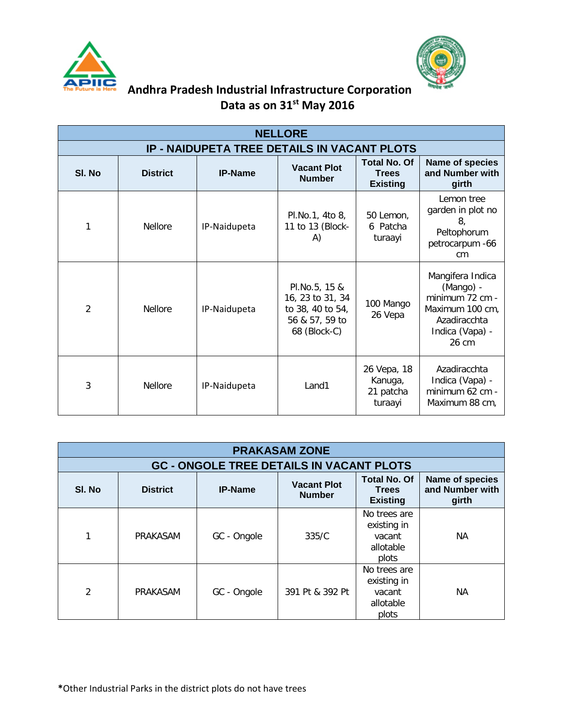



| <b>NELLORE</b>                                     |                 |                |                                                                                         |                                                        |                                                                                                                 |  |  |  |  |
|----------------------------------------------------|-----------------|----------------|-----------------------------------------------------------------------------------------|--------------------------------------------------------|-----------------------------------------------------------------------------------------------------------------|--|--|--|--|
| <b>IP - NAIDUPETA TREE DETAILS IN VACANT PLOTS</b> |                 |                |                                                                                         |                                                        |                                                                                                                 |  |  |  |  |
| SI. No                                             | <b>District</b> | <b>IP-Name</b> | <b>Vacant Plot</b><br><b>Number</b>                                                     | <b>Total No. Of</b><br><b>Trees</b><br><b>Existing</b> | Name of species<br>and Number with<br>girth                                                                     |  |  |  |  |
|                                                    | <b>Nellore</b>  | IP-Naidupeta   | Pl.No.1, 4to 8,<br>11 to 13 (Block-<br>A)                                               | 50 Lemon,<br>6 Patcha<br>turaayi                       | Lemon tree<br>garden in plot no<br>8,<br>Peltophorum<br>petrocarpum -66<br>cm <sub>2</sub>                      |  |  |  |  |
| $\mathcal{P}$                                      | <b>Nellore</b>  | IP-Naidupeta   | PI.No.5, 15 &<br>16, 23 to 31, 34<br>to 38, 40 to 54,<br>56 & 57, 59 to<br>68 (Block-C) | 100 Mango<br>26 Vepa                                   | Mangifera Indica<br>(Mango) -<br>minimum 72 cm -<br>Maximum 100 cm,<br>Azadiracchta<br>Indica (Vapa) -<br>26 cm |  |  |  |  |
| 3                                                  | <b>Nellore</b>  | IP-Naidupeta   | Land1                                                                                   | 26 Vepa, 18<br>Kanuga,<br>21 patcha<br>turaayi         | Azadiracchta<br>Indica (Vapa) -<br>minimum 62 cm -<br>Maximum 88 cm,                                            |  |  |  |  |

| <b>PRAKASAM ZONE</b>                            |                 |                |                                     |                                                             |                                             |  |  |  |  |
|-------------------------------------------------|-----------------|----------------|-------------------------------------|-------------------------------------------------------------|---------------------------------------------|--|--|--|--|
| <b>GC - ONGOLE TREE DETAILS IN VACANT PLOTS</b> |                 |                |                                     |                                                             |                                             |  |  |  |  |
| SI. No                                          | <b>District</b> | <b>IP-Name</b> | <b>Vacant Plot</b><br><b>Number</b> | <b>Total No. Of</b><br><b>Trees</b><br><b>Existing</b>      | Name of species<br>and Number with<br>girth |  |  |  |  |
|                                                 | PRAKASAM        | GC - Ongole    | 335/C                               | No trees are<br>existing in<br>vacant<br>allotable<br>plots | NА                                          |  |  |  |  |
| $\mathcal{P}$                                   | PRAKASAM        | GC - Ongole    | 391 Pt & 392 Pt                     | No trees are<br>existing in<br>vacant<br>allotable<br>plots | NА                                          |  |  |  |  |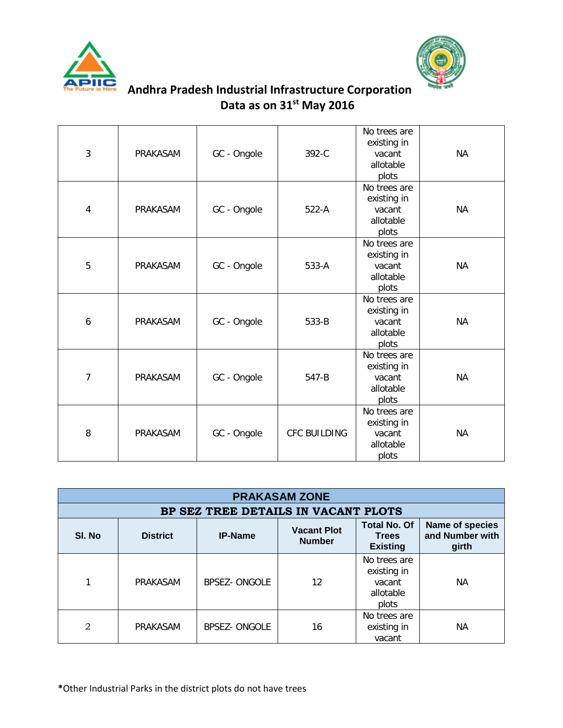



| 3 | PRAKASAM | GC - Ongole | 392-C               | No trees are<br>existing in<br>vacant<br>allotable<br>plots | <b>NA</b> |
|---|----------|-------------|---------------------|-------------------------------------------------------------|-----------|
| 4 | PRAKASAM | GC - Ongole | $522-A$             | No trees are<br>existing in<br>vacant<br>allotable<br>plots | <b>NA</b> |
| 5 | PRAKASAM | GC - Ongole | 533-A               | No trees are<br>existing in<br>vacant<br>allotable<br>plots | <b>NA</b> |
| 6 | PRAKASAM | GC - Ongole | 533-B               | No trees are<br>existing in<br>vacant<br>allotable<br>plots | NА        |
| 7 | PRAKASAM | GC - Ongole | 547-B               | No trees are<br>existing in<br>vacant<br>allotable<br>plots | <b>NA</b> |
| 8 | PRAKASAM | GC - Ongole | <b>CFC BUILDING</b> | No trees are<br>existing in<br>vacant<br>allotable<br>plots | <b>NA</b> |

| <b>PRAKASAM ZONE</b> |                                     |                     |                                     |                                                             |                                             |  |  |  |  |
|----------------------|-------------------------------------|---------------------|-------------------------------------|-------------------------------------------------------------|---------------------------------------------|--|--|--|--|
|                      | BP SEZ TREE DETAILS IN VACANT PLOTS |                     |                                     |                                                             |                                             |  |  |  |  |
| SI. No               | <b>District</b>                     | <b>IP-Name</b>      | <b>Vacant Plot</b><br><b>Number</b> | <b>Total No. Of</b><br><b>Trees</b><br><b>Existing</b>      | Name of species<br>and Number with<br>girth |  |  |  |  |
| 1                    | PRAKASAM                            | <b>BPSEZ-ONGOLE</b> | 12                                  | No trees are<br>existing in<br>vacant<br>allotable<br>plots | NА                                          |  |  |  |  |
| $\overline{2}$       | PRAKASAM                            | <b>BPSEZ-ONGOLE</b> | 16                                  | No trees are<br>existing in<br>vacant                       | NА                                          |  |  |  |  |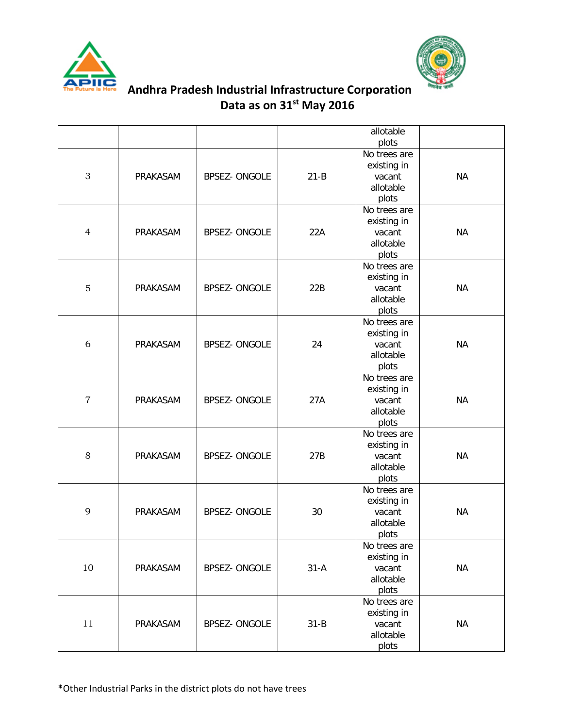



|                |          |                     |          | allotable                   |           |
|----------------|----------|---------------------|----------|-----------------------------|-----------|
|                |          |                     |          | plots                       |           |
|                |          |                     |          | No trees are                |           |
| 3              | PRAKASAM |                     | $21 - B$ | existing in                 | <b>NA</b> |
|                |          | BPSEZ-ONGOLE        |          | vacant<br>allotable         |           |
|                |          |                     |          | plots                       |           |
|                |          |                     |          | No trees are                |           |
|                |          |                     |          | existing in                 |           |
| $\overline{4}$ | PRAKASAM | <b>BPSEZ-ONGOLE</b> | 22A      | vacant                      | <b>NA</b> |
|                |          |                     |          | allotable                   |           |
|                |          |                     |          | plots                       |           |
|                |          |                     |          | No trees are                |           |
|                |          |                     |          | existing in                 |           |
| $\mathbf 5$    | PRAKASAM | <b>BPSEZ-ONGOLE</b> | 22B      | vacant                      | <b>NA</b> |
|                |          |                     |          | allotable                   |           |
|                |          |                     |          | plots                       |           |
|                |          |                     |          | No trees are                |           |
|                |          |                     |          | existing in                 |           |
| 6              | PRAKASAM | <b>BPSEZ-ONGOLE</b> | 24       | vacant                      | <b>NA</b> |
|                |          |                     |          | allotable                   |           |
|                |          |                     |          | plots                       |           |
|                |          |                     |          | No trees are                |           |
|                |          |                     |          | existing in                 |           |
| $\overline{7}$ | PRAKASAM | <b>BPSEZ-ONGOLE</b> | 27A      | vacant                      | <b>NA</b> |
|                |          |                     |          | allotable                   |           |
|                |          |                     |          | plots                       |           |
|                |          |                     |          | No trees are                |           |
|                |          |                     |          | existing in                 |           |
| 8              | PRAKASAM | BPSEZ-ONGOLE        | 27B      | vacant                      | <b>NA</b> |
|                |          |                     |          | allotable                   |           |
|                |          |                     |          | plots                       |           |
|                |          |                     |          | No trees are<br>existing in |           |
| 9              | PRAKASAM | <b>BPSEZ-ONGOLE</b> | 30       | vacant                      | <b>NA</b> |
|                |          |                     |          | allotable                   |           |
|                |          |                     |          | plots                       |           |
|                |          |                     |          | No trees are                |           |
|                |          |                     |          | existing in                 |           |
| 10             | PRAKASAM | BPSEZ-ONGOLE        | $31-A$   | vacant                      | <b>NA</b> |
|                |          |                     |          | allotable                   |           |
|                |          |                     |          | plots                       |           |
|                |          |                     |          | No trees are                |           |
|                |          |                     |          | existing in                 |           |
| 11             | PRAKASAM | <b>BPSEZ-ONGOLE</b> | $31 - B$ | vacant                      | <b>NA</b> |
|                |          |                     |          | allotable                   |           |
|                |          |                     |          | plots                       |           |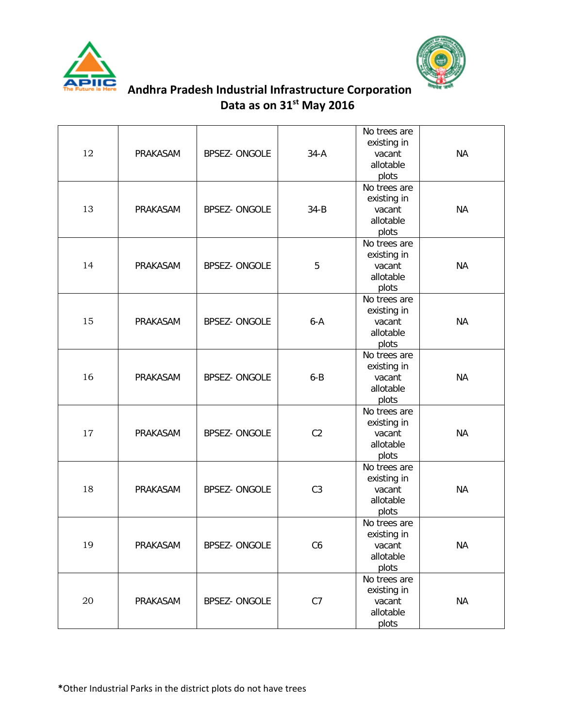



| 12 | PRAKASAM | BPSEZ-ONGOLE        | $34-A$         | No trees are<br>existing in<br>vacant<br>allotable<br>plots | <b>NA</b> |
|----|----------|---------------------|----------------|-------------------------------------------------------------|-----------|
| 13 | PRAKASAM | BPSEZ-ONGOLE        | $34-B$         | No trees are<br>existing in<br>vacant<br>allotable<br>plots | <b>NA</b> |
| 14 | PRAKASAM | <b>BPSEZ-ONGOLE</b> | 5              | No trees are<br>existing in<br>vacant<br>allotable<br>plots | <b>NA</b> |
| 15 | PRAKASAM | <b>BPSEZ-ONGOLE</b> | $6 - A$        | No trees are<br>existing in<br>vacant<br>allotable<br>plots | <b>NA</b> |
| 16 | PRAKASAM | <b>BPSEZ-ONGOLE</b> | $6 - B$        | No trees are<br>existing in<br>vacant<br>allotable<br>plots | <b>NA</b> |
| 17 | PRAKASAM | <b>BPSEZ-ONGOLE</b> | C <sub>2</sub> | No trees are<br>existing in<br>vacant<br>allotable<br>plots | <b>NA</b> |
| 18 | PRAKASAM | <b>BPSEZ-ONGOLE</b> | C <sub>3</sub> | No trees are<br>existing in<br>vacant<br>allotable<br>plots | <b>NA</b> |
| 19 | PRAKASAM | BPSEZ-ONGOLE        | C6             | No trees are<br>existing in<br>vacant<br>allotable<br>plots | <b>NA</b> |
| 20 | PRAKASAM | BPSEZ-ONGOLE        | C7             | No trees are<br>existing in<br>vacant<br>allotable<br>plots | <b>NA</b> |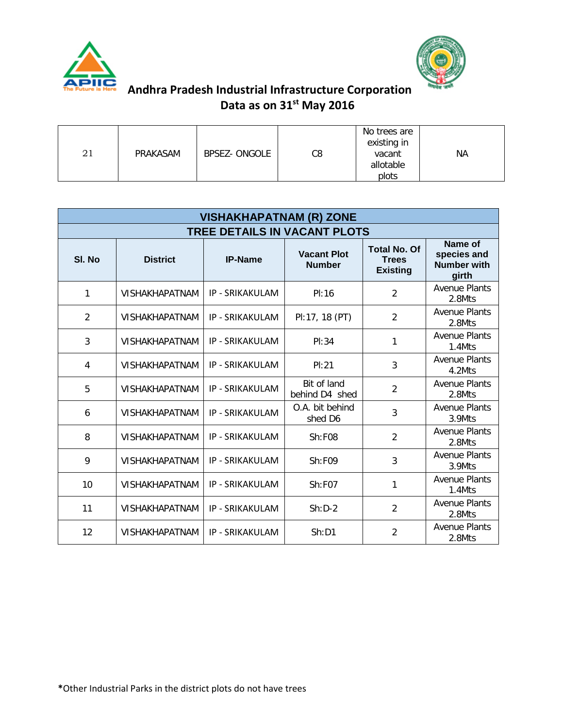



| 21 | PRAKASAM | <b>BPSEZ-ONGOLE</b> | C8 | No trees are<br>existing in<br>vacant<br>allotable<br>plots | <b>NA</b> |
|----|----------|---------------------|----|-------------------------------------------------------------|-----------|
|----|----------|---------------------|----|-------------------------------------------------------------|-----------|

| <b>VISHAKHAPATNAM (R) ZONE</b> |                       |                        |                                     |                                                        |                                                       |  |  |  |  |
|--------------------------------|-----------------------|------------------------|-------------------------------------|--------------------------------------------------------|-------------------------------------------------------|--|--|--|--|
| TREE DETAILS IN VACANT PLOTS   |                       |                        |                                     |                                                        |                                                       |  |  |  |  |
| SI. No                         | <b>District</b>       | <b>IP-Name</b>         | <b>Vacant Plot</b><br><b>Number</b> | <b>Total No. Of</b><br><b>Trees</b><br><b>Existing</b> | Name of<br>species and<br><b>Number with</b><br>girth |  |  |  |  |
| 1                              | <b>VISHAKHAPATNAM</b> | IP - SRIKAKULAM        | Pl:16                               | $\overline{2}$                                         | <b>Avenue Plants</b><br>2.8Mts                        |  |  |  |  |
| $\overline{2}$                 | <b>VISHAKHAPATNAM</b> | <b>IP - SRIKAKULAM</b> | PI:17, 18 (PT)                      | $\overline{2}$                                         | <b>Avenue Plants</b><br>2.8Mts                        |  |  |  |  |
| 3                              | <b>VISHAKHAPATNAM</b> | IP - SRIKAKULAM        | Pl:34                               | 1                                                      | <b>Avenue Plants</b><br>1.4Mts                        |  |  |  |  |
| 4                              | <b>VISHAKHAPATNAM</b> | <b>IP - SRIKAKULAM</b> | Pl:21                               | 3                                                      | <b>Avenue Plants</b><br>4.2Mts                        |  |  |  |  |
| 5                              | <b>VISHAKHAPATNAM</b> | IP - SRIKAKULAM        | Bit of land<br>behind D4 shed       | $\overline{2}$                                         | <b>Avenue Plants</b><br>2.8Mts                        |  |  |  |  |
| 6                              | <b>VISHAKHAPATNAM</b> | <b>IP - SRIKAKULAM</b> | O.A. bit behind<br>shed D6          | 3                                                      | <b>Avenue Plants</b><br>3.9Mts                        |  |  |  |  |
| 8                              | <b>VISHAKHAPATNAM</b> | IP - SRIKAKULAM        | Sh:FO8                              | $\overline{2}$                                         | <b>Avenue Plants</b><br>2.8Mts                        |  |  |  |  |
| 9                              | <b>VISHAKHAPATNAM</b> | <b>IP - SRIKAKULAM</b> | Sh:FO9                              | 3                                                      | <b>Avenue Plants</b><br>3.9Mts                        |  |  |  |  |
| 10                             | <b>VISHAKHAPATNAM</b> | IP - SRIKAKULAM        | Sh:FO7                              | 1                                                      | <b>Avenue Plants</b><br>1.4Mts                        |  |  |  |  |
| 11                             | <b>VISHAKHAPATNAM</b> | IP - SRIKAKULAM        | $Sh:D-2$                            | $\overline{2}$                                         | <b>Avenue Plants</b><br>2.8Mts                        |  |  |  |  |
| 12                             | <b>VISHAKHAPATNAM</b> | IP - SRIKAKULAM        | Sh: D1                              | $\overline{2}$                                         | <b>Avenue Plants</b><br>2.8Mts                        |  |  |  |  |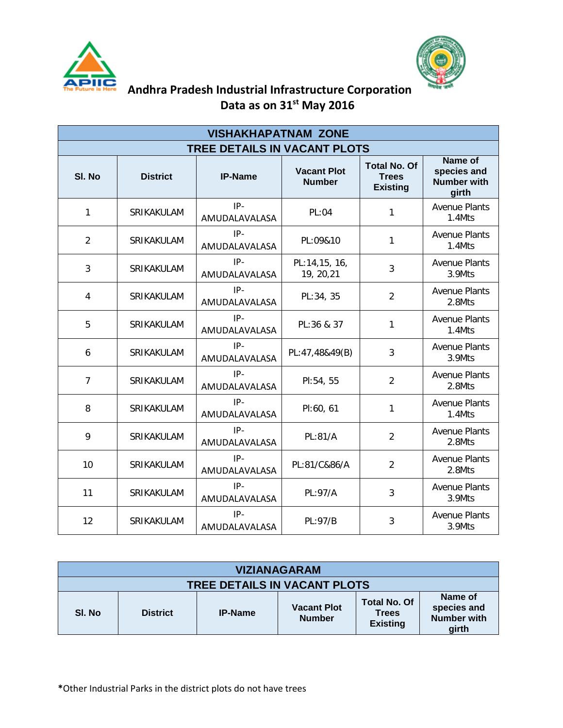



| <b>VISHAKHAPATNAM ZONE</b>   |                   |                        |                                     |                                                        |                                                       |  |  |  |
|------------------------------|-------------------|------------------------|-------------------------------------|--------------------------------------------------------|-------------------------------------------------------|--|--|--|
| TREE DETAILS IN VACANT PLOTS |                   |                        |                                     |                                                        |                                                       |  |  |  |
| SI. No                       | <b>District</b>   | <b>IP-Name</b>         | <b>Vacant Plot</b><br><b>Number</b> | <b>Total No. Of</b><br><b>Trees</b><br><b>Existing</b> | Name of<br>species and<br><b>Number with</b><br>girth |  |  |  |
| $\mathbf{1}$                 | SRIKAKULAM        | $IP-$<br>AMUDALAVALASA | PL:04                               | 1                                                      | <b>Avenue Plants</b><br>1.4Mts                        |  |  |  |
| $\overline{2}$               | SRIKAKULAM        | $IP-$<br>AMUDALAVALASA | PL:09&10                            | 1                                                      | <b>Avenue Plants</b><br>1.4Mts                        |  |  |  |
| 3                            | SRIKAKULAM        | $IP-$<br>AMUDALAVALASA | PL:14,15, 16,<br>19, 20, 21         | 3                                                      | <b>Avenue Plants</b><br>3.9Mts                        |  |  |  |
| 4                            | SRIKAKULAM        | $IP-$<br>AMUDALAVALASA | PL:34, 35                           | $\overline{2}$                                         | <b>Avenue Plants</b><br>2.8Mts                        |  |  |  |
| 5                            | SRIKAKULAM        | IP-<br>AMUDALAVALASA   | PL:36 & 37                          | 1                                                      | <b>Avenue Plants</b><br>1.4Mts                        |  |  |  |
| 6                            | SRIKAKULAM        | $IP-$<br>AMUDALAVALASA | PL:47,48&49(B)                      | 3                                                      | <b>Avenue Plants</b><br>3.9Mts                        |  |  |  |
| $\overline{7}$               | <b>SRIKAKULAM</b> | IP-<br>AMUDALAVALASA   | PI:54, 55                           | $\overline{2}$                                         | <b>Avenue Plants</b><br>2.8Mts                        |  |  |  |
| 8                            | SRIKAKULAM        | $IP-$<br>AMUDALAVALASA | Pl: 60, 61                          | 1                                                      | <b>Avenue Plants</b><br>1.4Mts                        |  |  |  |
| 9                            | SRIKAKULAM        | $IP-$<br>AMUDALAVALASA | PL:81/A                             | $\overline{2}$                                         | <b>Avenue Plants</b><br>2.8Mts                        |  |  |  |
| 10                           | SRIKAKULAM        | $IP-$<br>AMUDALAVALASA | PL:81/C&86/A                        | $\overline{2}$                                         | <b>Avenue Plants</b><br>2.8Mts                        |  |  |  |
| 11                           | SRIKAKULAM        | $IP-$<br>AMUDALAVALASA | PL:97/A                             | 3                                                      | <b>Avenue Plants</b><br>3.9Mts                        |  |  |  |
| 12                           | SRIKAKULAM        | $IP-$<br>AMUDALAVALASA | PL:97/B                             | 3                                                      | <b>Avenue Plants</b><br>3.9Mts                        |  |  |  |

| <b>VIZIANAGARAM</b>          |                 |                |                                     |                                                        |                                                       |  |  |  |
|------------------------------|-----------------|----------------|-------------------------------------|--------------------------------------------------------|-------------------------------------------------------|--|--|--|
| TREE DETAILS IN VACANT PLOTS |                 |                |                                     |                                                        |                                                       |  |  |  |
| SI. No                       | <b>District</b> | <b>IP-Name</b> | <b>Vacant Plot</b><br><b>Number</b> | <b>Total No. Of</b><br><b>Trees</b><br><b>Existing</b> | Name of<br>species and<br><b>Number with</b><br>girth |  |  |  |